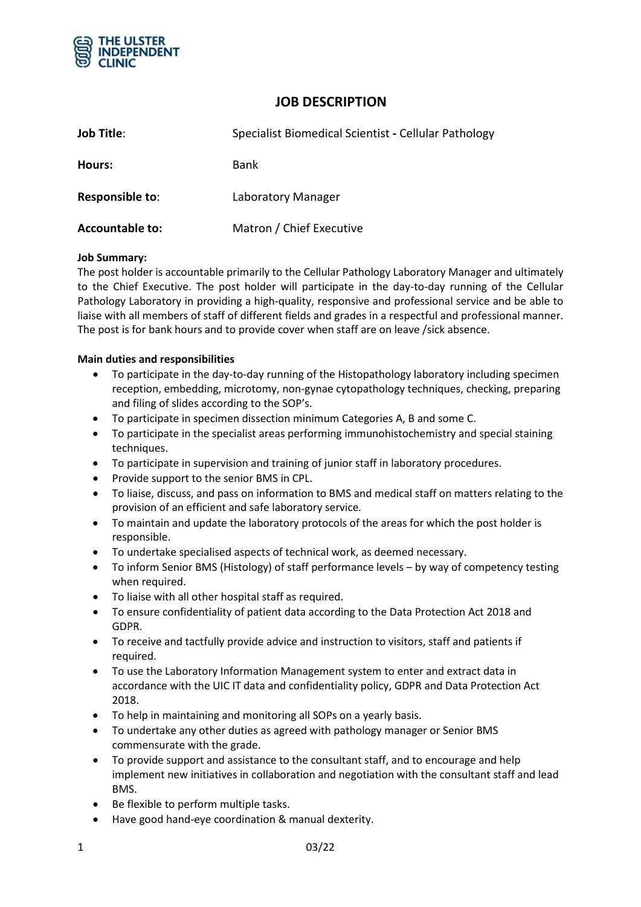

# **JOB DESCRIPTION**

| <b>Job Title:</b>      | Specialist Biomedical Scientist - Cellular Pathology |
|------------------------|------------------------------------------------------|
| Hours:                 | Bank                                                 |
| Responsible to:        | Laboratory Manager                                   |
| <b>Accountable to:</b> | Matron / Chief Executive                             |

#### **Job Summary:**

The post holder is accountable primarily to the Cellular Pathology Laboratory Manager and ultimately to the Chief Executive. The post holder will participate in the day-to-day running of the Cellular Pathology Laboratory in providing a high-quality, responsive and professional service and be able to liaise with all members of staff of different fields and grades in a respectful and professional manner. The post is for bank hours and to provide cover when staff are on leave /sick absence.

#### **Main duties and responsibilities**

- To participate in the day-to-day running of the Histopathology laboratory including specimen reception, embedding, microtomy, non-gynae cytopathology techniques, checking, preparing and filing of slides according to the SOP's.
- To participate in specimen dissection minimum Categories A, B and some C.
- To participate in the specialist areas performing immunohistochemistry and special staining techniques.
- To participate in supervision and training of junior staff in laboratory procedures.
- Provide support to the senior BMS in CPL.
- To liaise, discuss, and pass on information to BMS and medical staff on matters relating to the provision of an efficient and safe laboratory service*.*
- To maintain and update the laboratory protocols of the areas for which the post holder is responsible.
- To undertake specialised aspects of technical work, as deemed necessary.
- To inform Senior BMS (Histology) of staff performance levels by way of competency testing when required.
- To liaise with all other hospital staff as required.
- To ensure confidentiality of patient data according to the Data Protection Act 2018 and GDPR.
- To receive and tactfully provide advice and instruction to visitors, staff and patients if required.
- To use the Laboratory Information Management system to enter and extract data in accordance with the UIC IT data and confidentiality policy, GDPR and Data Protection Act 2018.
- To help in maintaining and monitoring all SOPs on a yearly basis.
- To undertake any other duties as agreed with pathology manager or Senior BMS commensurate with the grade.
- To provide support and assistance to the consultant staff, and to encourage and help implement new initiatives in collaboration and negotiation with the consultant staff and lead BMS.
- Be flexible to perform multiple tasks.
- Have good hand-eye coordination & manual dexterity.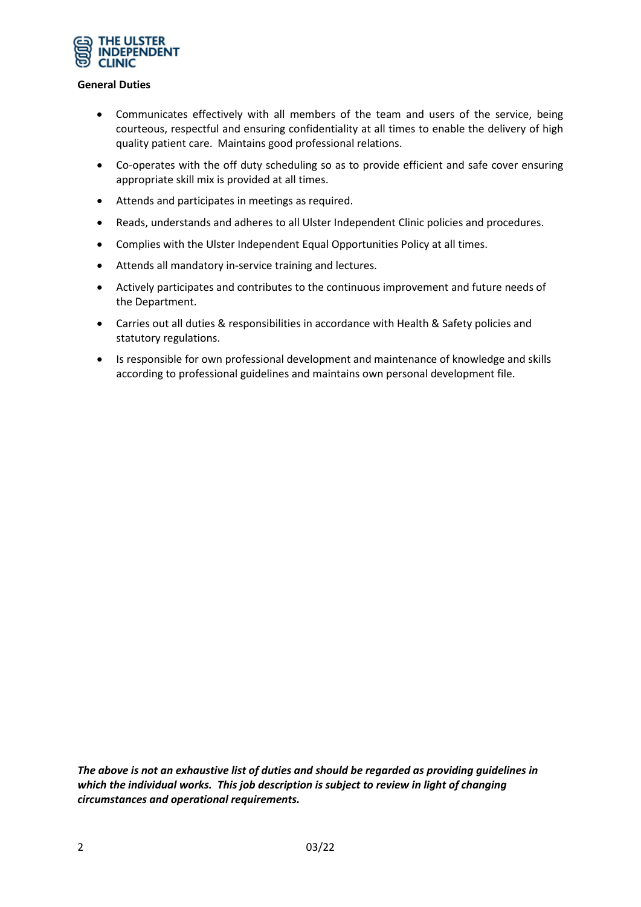

#### **General Duties**

- Communicates effectively with all members of the team and users of the service, being courteous, respectful and ensuring confidentiality at all times to enable the delivery of high quality patient care. Maintains good professional relations.
- Co-operates with the off duty scheduling so as to provide efficient and safe cover ensuring appropriate skill mix is provided at all times.
- Attends and participates in meetings as required.
- Reads, understands and adheres to all Ulster Independent Clinic policies and procedures.
- Complies with the Ulster Independent Equal Opportunities Policy at all times.
- Attends all mandatory in-service training and lectures.
- Actively participates and contributes to the continuous improvement and future needs of the Department.
- Carries out all duties & responsibilities in accordance with Health & Safety policies and statutory regulations.
- Is responsible for own professional development and maintenance of knowledge and skills according to professional guidelines and maintains own personal development file.

*The above is not an exhaustive list of duties and should be regarded as providing guidelines in which the individual works. This job description is subject to review in light of changing circumstances and operational requirements.*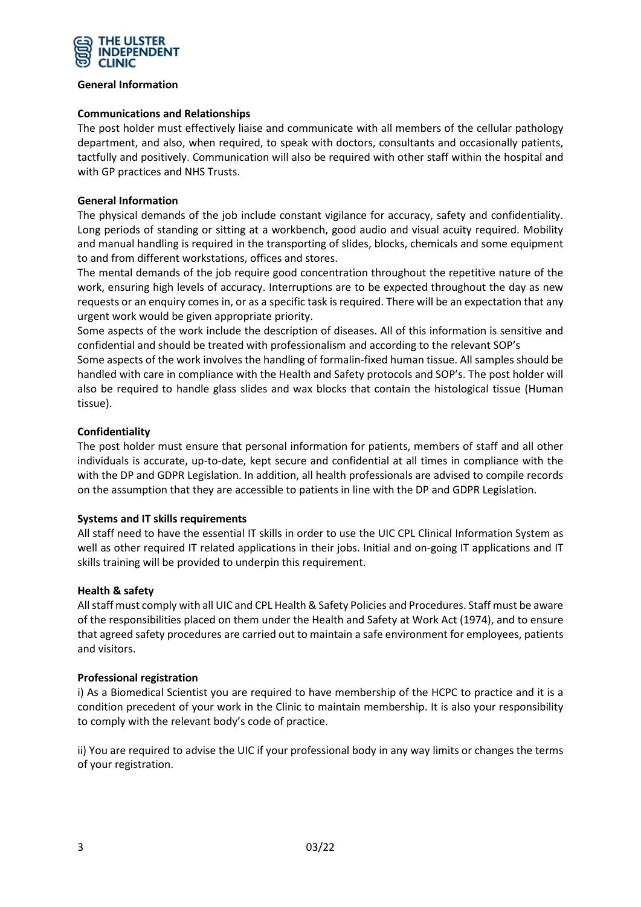

#### **General Information**

#### **Communications and Relationships**

The post holder must effectively liaise and communicate with all members of the cellular pathology department, and also, when required, to speak with doctors, consultants and occasionally patients, tactfully and positively. Communication will also be required with other staff within the hospital and with GP practices and NHS Trusts.

### **General Information**

The physical demands of the job include constant vigilance for accuracy, safety and confidentiality. Long periods of standing or sitting at a workbench, good audio and visual acuity required. Mobility and manual handling is required in the transporting of slides, blocks, chemicals and some equipment to and from different workstations, offices and stores.

The mental demands of the job require good concentration throughout the repetitive nature of the work, ensuring high levels of accuracy. Interruptions are to be expected throughout the day as new requests or an enquiry comes in, or as a specific task is required. There will be an expectation that any urgent work would be given appropriate priority.

Some aspects of the work include the description of diseases. All of this information is sensitive and confidential and should be treated with professionalism and according to the relevant SOP's

Some aspects of the work involves the handling of formalin-fixed human tissue. All samples should be handled with care in compliance with the Health and Safety protocols and SOP's. The post holder will also be required to handle glass slides and wax blocks that contain the histological tissue (Human tissue).

### **Confidentiality**

The post holder must ensure that personal information for patients, members of staff and all other individuals is accurate, up-to-date, kept secure and confidential at all times in compliance with the with the DP and GDPR Legislation. In addition, all health professionals are advised to compile records on the assumption that they are accessible to patients in line with the DP and GDPR Legislation.

#### **Systems and IT skills requirements**

All staff need to have the essential IT skills in order to use the UIC CPL Clinical Information System as well as other required IT related applications in their jobs. Initial and on-going IT applications and IT skills training will be provided to underpin this requirement.

#### **Health & safety**

All staff must comply with all UIC and CPL Health & Safety Policies and Procedures. Staff must be aware of the responsibilities placed on them under the Health and Safety at Work Act (1974), and to ensure that agreed safety procedures are carried out to maintain a safe environment for employees, patients and visitors.

#### **Professional registration**

i) As a Biomedical Scientist you are required to have membership of the HCPC to practice and it is a condition precedent of your work in the Clinic to maintain membership. It is also your responsibility to comply with the relevant body's code of practice.

ii) You are required to advise the UIC if your professional body in any way limits or changes the terms of your registration.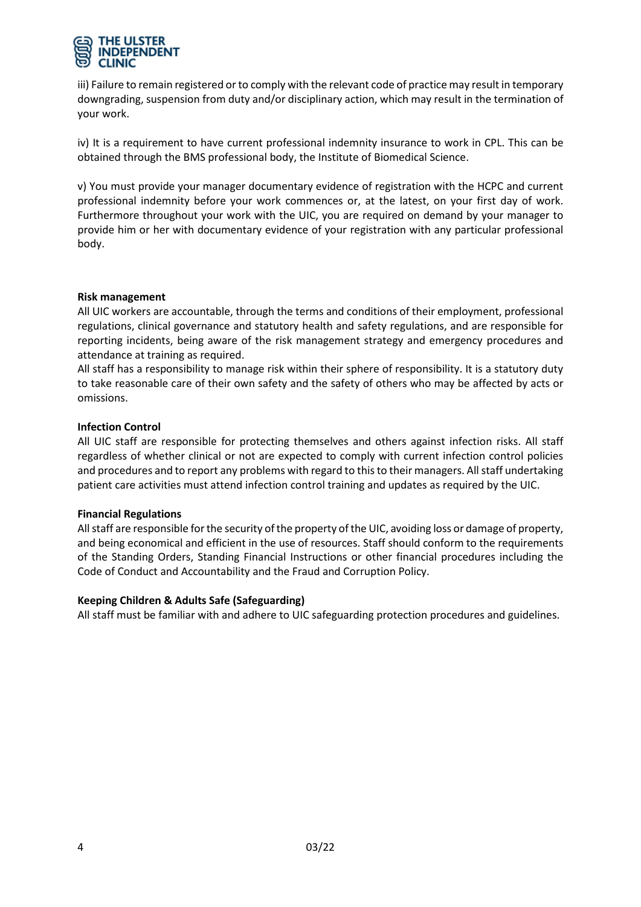

iii) Failure to remain registered or to comply with the relevant code of practice may result in temporary downgrading, suspension from duty and/or disciplinary action, which may result in the termination of your work.

iv) It is a requirement to have current professional indemnity insurance to work in CPL. This can be obtained through the BMS professional body, the Institute of Biomedical Science.

v) You must provide your manager documentary evidence of registration with the HCPC and current professional indemnity before your work commences or, at the latest, on your first day of work. Furthermore throughout your work with the UIC, you are required on demand by your manager to provide him or her with documentary evidence of your registration with any particular professional body.

#### **Risk management**

All UIC workers are accountable, through the terms and conditions of their employment, professional regulations, clinical governance and statutory health and safety regulations, and are responsible for reporting incidents, being aware of the risk management strategy and emergency procedures and attendance at training as required.

All staff has a responsibility to manage risk within their sphere of responsibility. It is a statutory duty to take reasonable care of their own safety and the safety of others who may be affected by acts or omissions.

#### **Infection Control**

All UIC staff are responsible for protecting themselves and others against infection risks. All staff regardless of whether clinical or not are expected to comply with current infection control policies and procedures and to report any problems with regard to this to their managers. All staff undertaking patient care activities must attend infection control training and updates as required by the UIC.

#### **Financial Regulations**

All staff are responsible for the security of the property of the UIC, avoiding loss or damage of property, and being economical and efficient in the use of resources. Staff should conform to the requirements of the Standing Orders, Standing Financial Instructions or other financial procedures including the Code of Conduct and Accountability and the Fraud and Corruption Policy.

#### **Keeping Children & Adults Safe (Safeguarding)**

All staff must be familiar with and adhere to UIC safeguarding protection procedures and guidelines.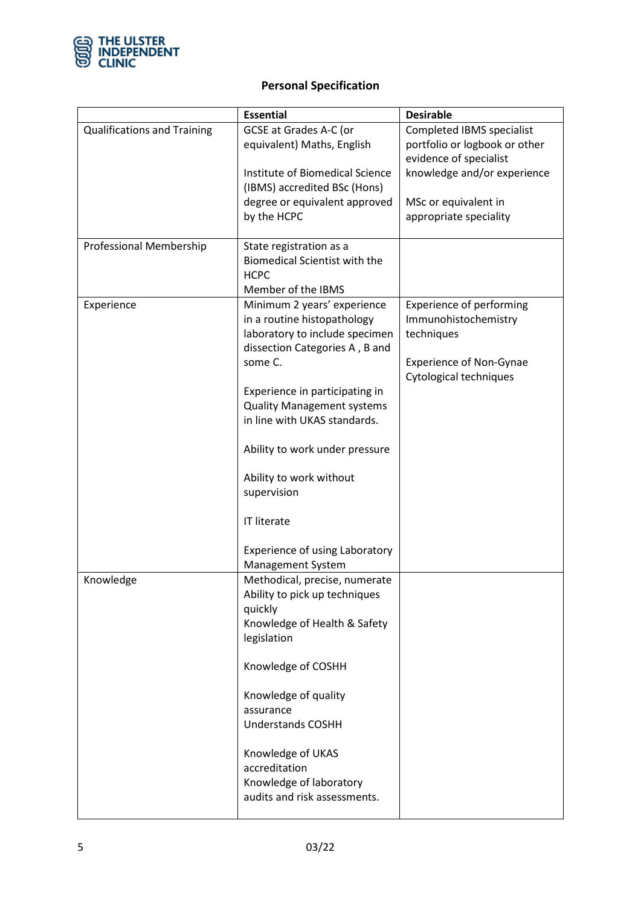

# **Personal Specification**

|                                    | <b>Essential</b>                                                  | <b>Desirable</b>                                           |
|------------------------------------|-------------------------------------------------------------------|------------------------------------------------------------|
| <b>Qualifications and Training</b> | <b>GCSE at Grades A-C (or</b><br>equivalent) Maths, English       | Completed IBMS specialist<br>portfolio or logbook or other |
|                                    |                                                                   | evidence of specialist                                     |
|                                    | Institute of Biomedical Science<br>(IBMS) accredited BSc (Hons)   | knowledge and/or experience                                |
|                                    | degree or equivalent approved                                     | MSc or equivalent in                                       |
|                                    | by the HCPC                                                       | appropriate speciality                                     |
| Professional Membership            | State registration as a                                           |                                                            |
|                                    | <b>Biomedical Scientist with the</b><br><b>HCPC</b>               |                                                            |
|                                    | Member of the IBMS                                                |                                                            |
| Experience                         | Minimum 2 years' experience                                       | <b>Experience of performing</b>                            |
|                                    | in a routine histopathology<br>laboratory to include specimen     | Immunohistochemistry<br>techniques                         |
|                                    | dissection Categories A, B and<br>some C.                         | <b>Experience of Non-Gynae</b>                             |
|                                    |                                                                   | Cytological techniques                                     |
|                                    | Experience in participating in                                    |                                                            |
|                                    | <b>Quality Management systems</b><br>in line with UKAS standards. |                                                            |
|                                    |                                                                   |                                                            |
|                                    | Ability to work under pressure                                    |                                                            |
|                                    | Ability to work without                                           |                                                            |
|                                    | supervision                                                       |                                                            |
|                                    | <b>IT literate</b>                                                |                                                            |
|                                    | <b>Experience of using Laboratory</b>                             |                                                            |
|                                    | Management System                                                 |                                                            |
| Knowledge                          | Methodical, precise, numerate<br>Ability to pick up techniques    |                                                            |
|                                    | quickly                                                           |                                                            |
|                                    | Knowledge of Health & Safety                                      |                                                            |
|                                    | legislation                                                       |                                                            |
|                                    | Knowledge of COSHH                                                |                                                            |
|                                    | Knowledge of quality                                              |                                                            |
|                                    | assurance                                                         |                                                            |
|                                    | <b>Understands COSHH</b>                                          |                                                            |
|                                    | Knowledge of UKAS                                                 |                                                            |
|                                    | accreditation                                                     |                                                            |
|                                    | Knowledge of laboratory                                           |                                                            |
|                                    | audits and risk assessments.                                      |                                                            |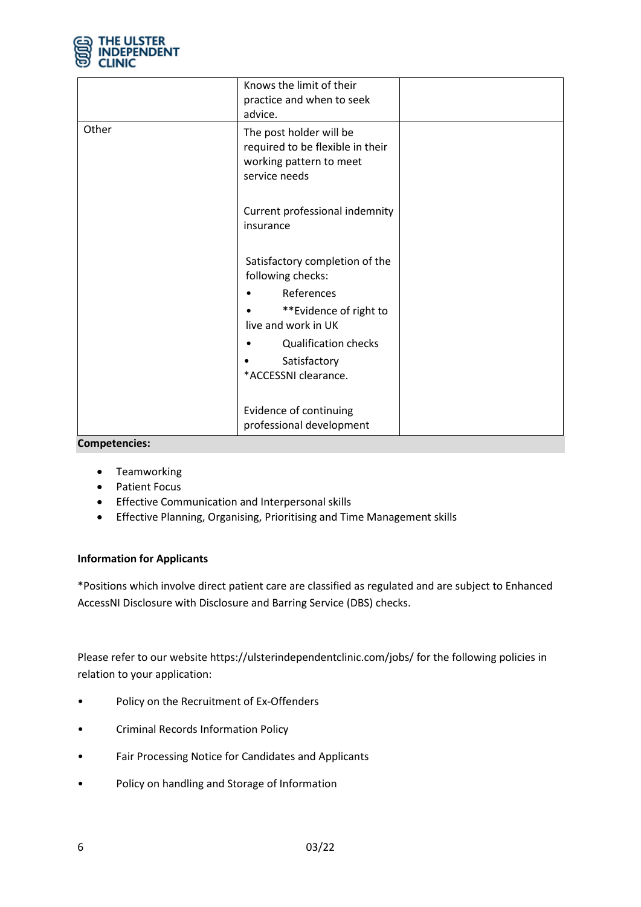

|       | Knows the limit of their<br>practice and when to seek<br>advice.                                        |  |
|-------|---------------------------------------------------------------------------------------------------------|--|
| Other | The post holder will be<br>required to be flexible in their<br>working pattern to meet<br>service needs |  |
|       | Current professional indemnity<br>insurance                                                             |  |
|       | Satisfactory completion of the<br>following checks:                                                     |  |
|       | References                                                                                              |  |
|       | **Evidence of right to<br>live and work in UK                                                           |  |
|       | <b>Qualification checks</b><br>Satisfactory                                                             |  |
|       | *ACCESSNI clearance.                                                                                    |  |
|       | Evidence of continuing<br>professional development                                                      |  |

#### **Competencies:**

- Teamworking
- Patient Focus
- Effective Communication and Interpersonal skills
- Effective Planning, Organising, Prioritising and Time Management skills

## **Information for Applicants**

\*Positions which involve direct patient care are classified as regulated and are subject to Enhanced AccessNI Disclosure with Disclosure and Barring Service (DBS) checks.

Please refer to our website https://ulsterindependentclinic.com/jobs/ for the following policies in relation to your application:

- Policy on the Recruitment of Ex-Offenders
- Criminal Records Information Policy
- Fair Processing Notice for Candidates and Applicants
- Policy on handling and Storage of Information